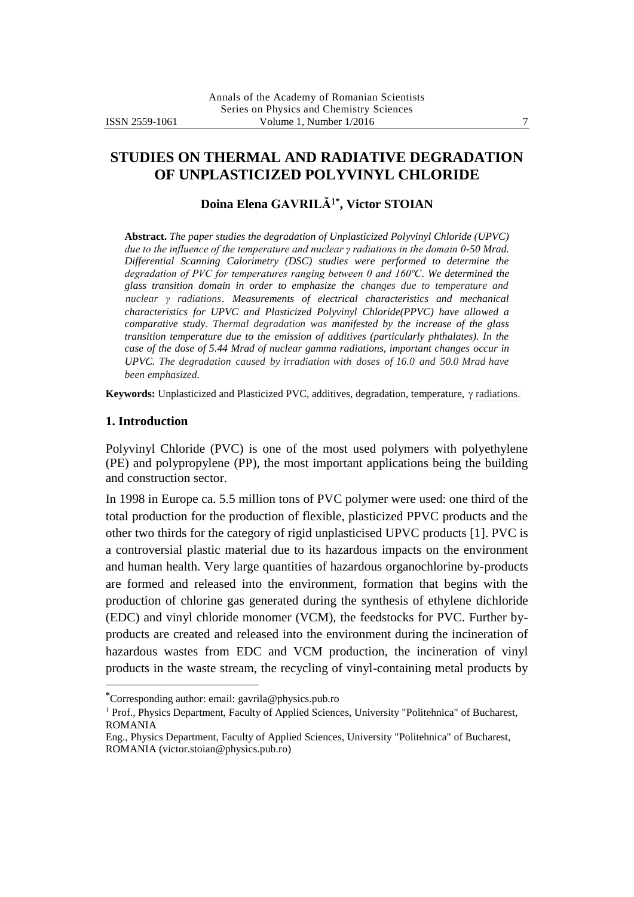# **STUDIES ON THERMAL AND RADIATIVE DEGRADATION OF UNPLASTICIZED POLYVINYL CHLORIDE**

### **Doina Elena GAVRILĂ\* , Victor STOIAN**

**Abstract.** *The paper studies the degradation of Unplasticized Polyvinyl Chloride (UPVC) due to the influence of the temperature and nuclear γ radiations in the domain 0-50 Mrad. Differential Scanning Calorimetry (DSC) studies were performed to determine the degradation of PVC for temperatures ranging between 0 and 160ºC. We determined the glass transition domain in order to emphasize the changes due to temperature and nuclear γ radiations. Measurements of electrical characteristics and mechanical characteristics for UPVC and Plasticized Polyvinyl Chloride(PPVC) have allowed a comparative study. Thermal degradation was manifested by the increase of the glass transition temperature due to the emission of additives (particularly phthalates). In the case of the dose of 5.44 Mrad of nuclear gamma radiations, important changes occur in UPVC. The degradation caused by irradiation with doses of 16.0 and 50.0 Mrad have been emphasized.* 

**Keywords:** Unplasticized and Plasticized PVC, additives, degradation, temperature, γ radiations.

#### **1. Introduction**

 $\overline{a}$ 

Polyvinyl Chloride (PVC) is one of the most used polymers with polyethylene (PE) and polypropylene (PP), the most important applications being the building and construction sector.

In 1998 in Europe ca. 5.5 million tons of PVC polymer were used: one third of the total production for the production of flexible, plasticized PPVC products and the other two thirds for the category of rigid unplasticised UPVC products [1]. PVC is a controversial plastic material due to its hazardous impacts on the environment and human health. Very large quantities of hazardous organochlorine by-products are formed and released into the environment, formation that begins with the production of chlorine gas generated during the synthesis of ethylene dichloride (EDC) and vinyl chloride monomer (VCM), the feedstocks for PVC. Further byproducts are created and released into the environment during the incineration of hazardous wastes from EDC and VCM production, the incineration of vinyl products in the waste stream, the recycling of vinyl-containing metal products by

**<sup>\*</sup>**Corresponding author: email: gavrila@physics.pub.ro

<sup>&</sup>lt;sup>1</sup> Prof., Physics Department, Faculty of Applied Sciences, University "Politehnica" of Bucharest, ROMANIA

Eng., Physics Department, Faculty of Applied Sciences, University "Politehnica" of Bucharest, ROMANIA (victor.stoian@physics.pub.ro)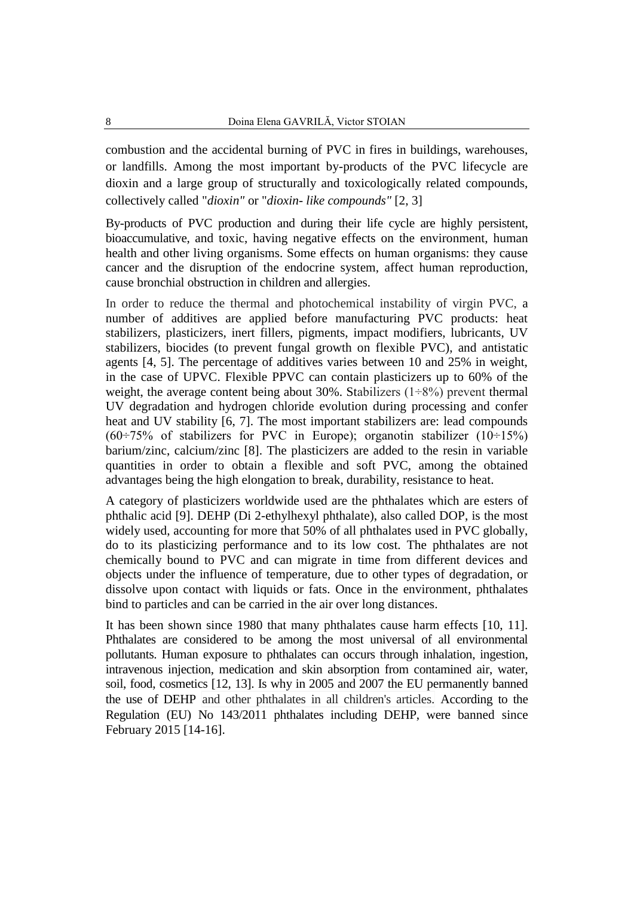combustion and the accidental burning of PVC in fires in buildings, warehouses, or landfills. Among the most important by-products of the PVC lifecycle are dioxin and a large group of structurally and toxicologically related compounds, collectively called "*dioxin"* or "*dioxin- like compounds"* [2, 3]

By-products of PVC production and during their life cycle are highly persistent, bioaccumulative, and toxic, having negative effects on the environment, human health and other living organisms. Some effects on human organisms: they cause cancer and the disruption of the endocrine system, affect human reproduction, cause bronchial obstruction in children and allergies.

In order to reduce the thermal and photochemical instability of virgin PVC, a number of additives are applied before manufacturing PVC products: heat stabilizers, plasticizers, inert fillers, pigments, impact modifiers, lubricants, UV stabilizers, biocides (to prevent fungal growth on flexible PVC), and antistatic agents [4, 5]. The percentage of additives varies between 10 and 25% in weight, in the case of UPVC. Flexible PPVC can contain plasticizers up to 60% of the weight, the average content being about 30%. Stabilizers  $(1\div 8\%)$  prevent thermal UV degradation and hydrogen chloride evolution during processing and confer heat and UV stability [6, 7]. The most important stabilizers are: lead compounds  $(60\div 75\%$  of stabilizers for PVC in Europe); organotin stabilizer  $(10\div 15\%)$ barium/zinc, calcium/zinc [8]. The plasticizers are added to the resin in variable quantities in order to obtain a flexible and soft PVC, among the obtained advantages being the high elongation to break, durability, resistance to heat.

A category of plasticizers worldwide used are the phthalates which are esters of phthalic acid [9]. DEHP (Di 2-ethylhexyl phthalate), also called DOP, is the most widely used, accounting for more that 50% of all phthalates used in PVC globally, do to its plasticizing performance and to its low cost. The phthalates are not chemically bound to PVC and can migrate in time from different devices and objects under the influence of temperature, due to other types of degradation, or dissolve upon contact with liquids or fats. Once in the environment, phthalates bind to particles and can be carried in the air over long distances.

It has been shown since 1980 that many phthalates cause harm effects [10, 11]. Phthalates are considered to be among the most universal of all environmental pollutants. Human exposure to phthalates can occurs through inhalation, ingestion, intravenous injection, medication and skin absorption from contamined air, water, soil, food, cosmetics [12, 13]. Is why in 2005 and 2007 the EU permanently banned the use of DEHP and other phthalates in all children's articles. According to the Regulation (EU) No 143/2011 phthalates including DEHP, were banned since February 2015 [14-16].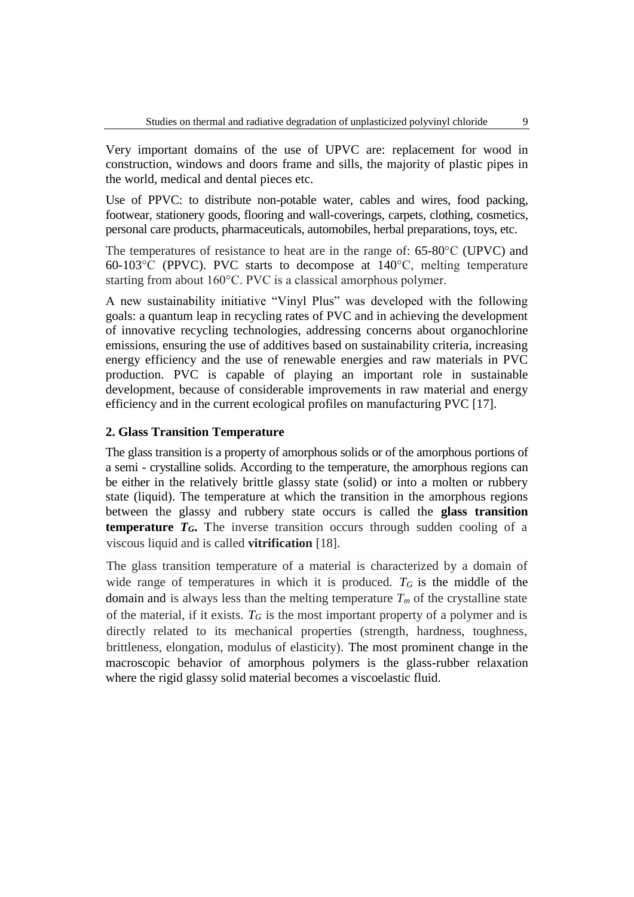Very important domains of the use of UPVC are: replacement for wood in construction, windows and doors frame and sills, the majority of plastic pipes in the world, medical and dental pieces etc.

Use of PPVC: to distribute non-potable water, cables and wires, food packing, footwear, stationery goods, flooring and wall-coverings, carpets, clothing, cosmetics, personal care products, pharmaceuticals, automobiles, herbal preparations, toys, etc.

The temperatures of resistance to heat are in the range of: 65-80°C (UPVC) and 60-103°C (PPVC). PVC starts to decompose at 140°C, melting temperature starting from about 160°C. PVC is a classical amorphous polymer.

A new sustainability initiative "Vinyl Plus" was developed with the following goals: a quantum leap in recycling rates of PVC and in achieving the development of innovative recycling technologies, addressing concerns about organochlorine emissions, ensuring the use of additives based on sustainability criteria, increasing energy efficiency and the use of renewable energies and raw materials in PVC production. PVC is capable of playing an important role in sustainable development, because of considerable improvements in raw material and energy efficiency and in the current ecological profiles on manufacturing PVC [17].

## **2. Glass Transition Temperature**

The glass transition is a property of amorphous solids or of the amorphous portions of a semi - crystalline solids. According to the temperature, the amorphous regions can be either in the relatively brittle glassy state (solid) or into a molten or rubbery state (liquid). The temperature at which the transition in the amorphous regions between the glassy and rubbery state occurs is called the **glass transition temperature**  $T_G$ **.** The inverse transition occurs through sudden cooling of a viscous liquid and is called **vitrification** [18].

The glass transition temperature of a material is characterized by a domain of wide range of temperatures in which it is produced.  $T_G$  is the middle of the domain and is always less than the melting temperature  $T_m$  of the crystalline state of the material, if it exists.  $T_G$  is the most important property of a polymer and is directly related to its mechanical properties (strength, hardness, toughness, brittleness, elongation, modulus of elasticity). The most prominent change in the macroscopic behavior of amorphous polymers is the glass-rubber relaxation where the rigid glassy solid material becomes a viscoelastic fluid.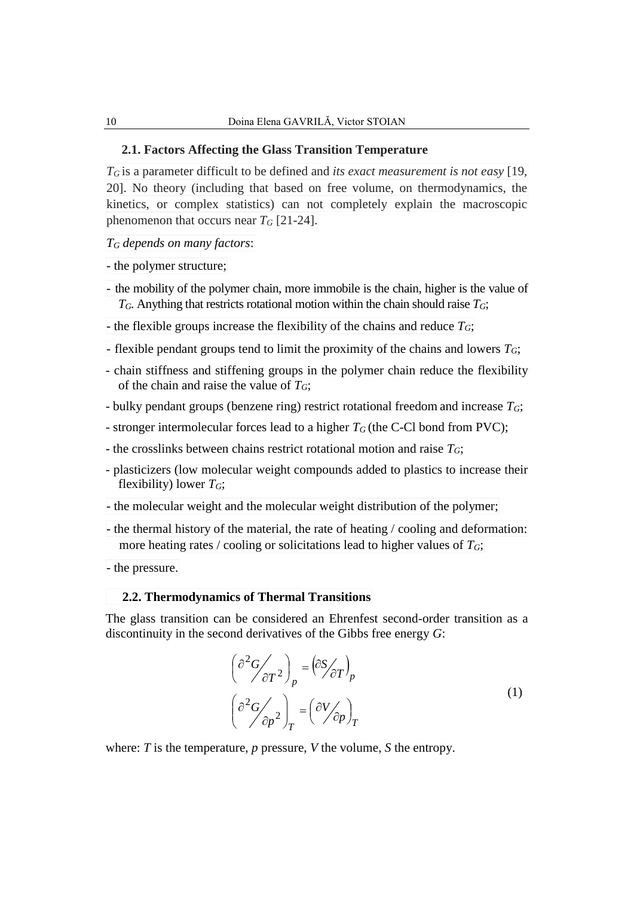#### **2.1. Factors Affecting the Glass Transition Temperature**

*T<sup>G</sup>* is a parameter difficult to be defined and *its exact measurement is not easy* [19, 20]. No theory (including that based on free volume, on thermodynamics, the kinetics, or complex statistics) can not completely explain the macroscopic phenomenon that occurs near  $T_G$  [21-24].

*T<sup>G</sup> depends on many factors*:

- the polymer structure;

- the mobility of the polymer chain, more immobile is the chain, higher is the value of *TG*. Anything that restricts rotational motion within the chain should raise *TG*;
- the flexible groups increase the flexibility of the chains and reduce  $T_G$ ;
- flexible pendant groups tend to limit the proximity of the chains and lowers *TG*;
- chain stiffness and stiffening groups in the polymer chain reduce the flexibility of the chain and raise the value of *TG*;
- bulky pendant groups (benzene ring) restrict rotational freedom and increase *TG*;
- stronger intermolecular forces lead to a higher *T<sup>G</sup>* (the C-Cl bond from PVC);
- the crosslinks between chains restrict rotational motion and raise *TG*;
- plasticizers (low molecular weight compounds added to plastics to increase their flexibility) lower *TG*;
- the molecular weight and the molecular weight distribution of the polymer;
- the thermal history of the material, the rate of heating / cooling and deformation: more heating rates / cooling or solicitations lead to higher values of *TG*;

- the pressure.

#### **2.2. Thermodynamics of Thermal Transitions**

The glass transition can be considered an Ehrenfest second-order transition as a discontinuity in the second derivatives of the Gibbs free energy *G*:

$$
\left(\frac{\partial^2 G}{\partial T^2}\right)_p = \left(\frac{\partial S}{\partial T}\right)_p
$$
\n
$$
\left(\frac{\partial^2 G}{\partial p^2}\right)_T = \left(\frac{\partial V}{\partial p}\right)_T
$$
\n(1)

where: *T* is the temperature, *p* pressure, *V* the volume, *S* the entropy.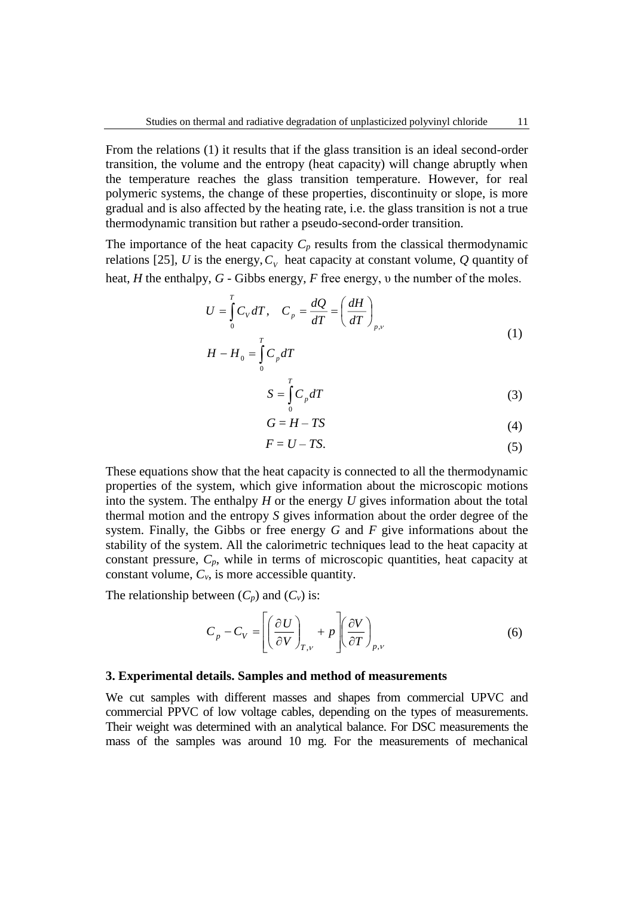From the relations (1) it results that if the glass transition is an ideal second-order transition, the volume and the entropy (heat capacity) will change abruptly when the temperature reaches the glass transition temperature. However, for real polymeric systems, the change of these properties, discontinuity or slope, is more gradual and is also affected by the heating rate, i.e. the glass transition is not a true thermodynamic transition but rather a pseudo-second-order transition.

The importance of the heat capacity  $C_p$  results from the classical thermodynamic relations [25], U is the energy,  $C_V$  heat capacity at constant volume, Q quantity of heat, *H* the enthalpy, *G* - Gibbs energy, *F* free energy, υ the number of the moles.

$$
U = \int_{0}^{T} C_V dT, \quad C_p = \frac{dQ}{dT} = \left(\frac{dH}{dT}\right)_{p,\nu}
$$
  

$$
H - H_0 = \int_{0}^{T} C_p dT
$$
 (1)

$$
S = \int_{0}^{T} C_p dT \tag{3}
$$

$$
G = H - TS \tag{4}
$$

$$
F = U - TS.\tag{5}
$$

These equations show that the heat capacity is connected to all the thermodynamic properties of the system, which give information about the microscopic motions into the system. The enthalpy *H* or the energy *U* gives information about the total thermal motion and the entropy *S* gives information about the order degree of the system. Finally, the Gibbs or free energy *G* and *F* give informations about the stability of the system. All the calorimetric techniques lead to the heat capacity at constant pressure, *Cp*, while in terms of microscopic quantities, heat capacity at constant volume,  $C_v$ , is more accessible quantity.

The relationship between  $(C_p)$  and  $(C_v)$  is:

$$
C_p - C_V = \left[ \left( \frac{\partial U}{\partial V} \right)_{T,v} + p \right] \left( \frac{\partial V}{\partial T} \right)_{p,v}
$$
(6)

#### **3. Experimental details. Samples and method of measurements**

We cut samples with different masses and shapes from commercial UPVC and commercial PPVC of low voltage cables, depending on the types of measurements. Their weight was determined with an analytical balance. For DSC measurements the mass of the samples was around 10 mg. For the measurements of mechanical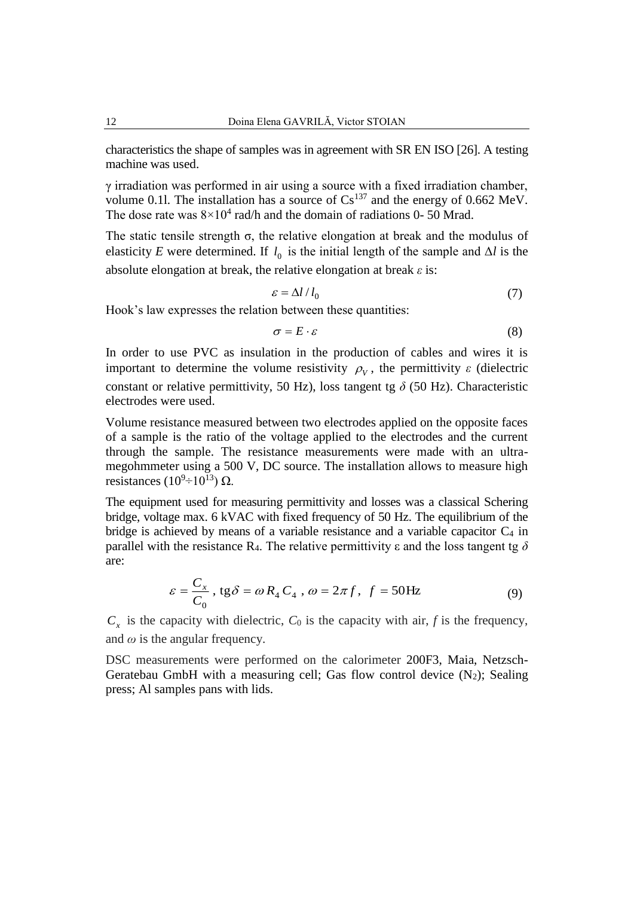characteristics the shape of samples was in agreement with SR EN ISO [26]. A testing machine was used.

γ irradiation was performed in air using a source with a fixed irradiation chamber, volume 0.11. The installation has a source of  $Cs^{137}$  and the energy of 0.662 MeV. The dose rate was  $8 \times 10^4$  rad/h and the domain of radiations 0- 50 Mrad.

The static tensile strength σ, the relative elongation at break and the modulus of elasticity *E* were determined. If  $l_0$  is the initial length of the sample and  $\Delta l$  is the absolute elongation at break, the relative elongation at break *ε* is:

$$
\varepsilon = \Delta l / l_0 \tag{7}
$$

Hook's law expresses the relation between these quantities:

$$
\sigma = E \cdot \varepsilon \tag{8}
$$

In order to use PVC as insulation in the production of cables and wires it is important to determine the volume resistivity  $\rho_V$ , the permittivity  $\varepsilon$  (dielectric constant or relative permittivity, 50 Hz), loss tangent tg  $\delta$  (50 Hz). Characteristic electrodes were used.

Volume resistance measured between two electrodes applied on the opposite faces of a sample is the ratio of the voltage applied to the electrodes and the current through the sample. The resistance measurements were made with an ultramegohmmeter using a 500 V, DC source. The installation allows to measure high resistances (10<sup>9</sup>÷10<sup>13</sup>) Ω.

The equipment used for measuring permittivity and losses was a classical Schering bridge, voltage max. 6 kVAC with fixed frequency of 50 Hz. The equilibrium of the bridge is achieved by means of a variable resistance and a variable capacitor  $C_4$  in parallel with the resistance R<sub>4</sub>. The relative permittivity  $\varepsilon$  and the loss tangent tg  $\delta$ are:

$$
\varepsilon = \frac{C_x}{C_0}, \text{tg}\delta = \omega R_4 C_4, \omega = 2\pi f, f = 50 \text{Hz}
$$
 (9)

 $C_x$  is the capacity with dielectric,  $C_0$  is the capacity with air,  $f$  is the frequency, and  $\omega$  is the angular frequency.

DSC measurements were performed on the calorimeter 200F3, Maia, Netzsch-Geratebau GmbH with a measuring cell; Gas flow control device  $(N_2)$ ; Sealing press; Al samples pans with lids.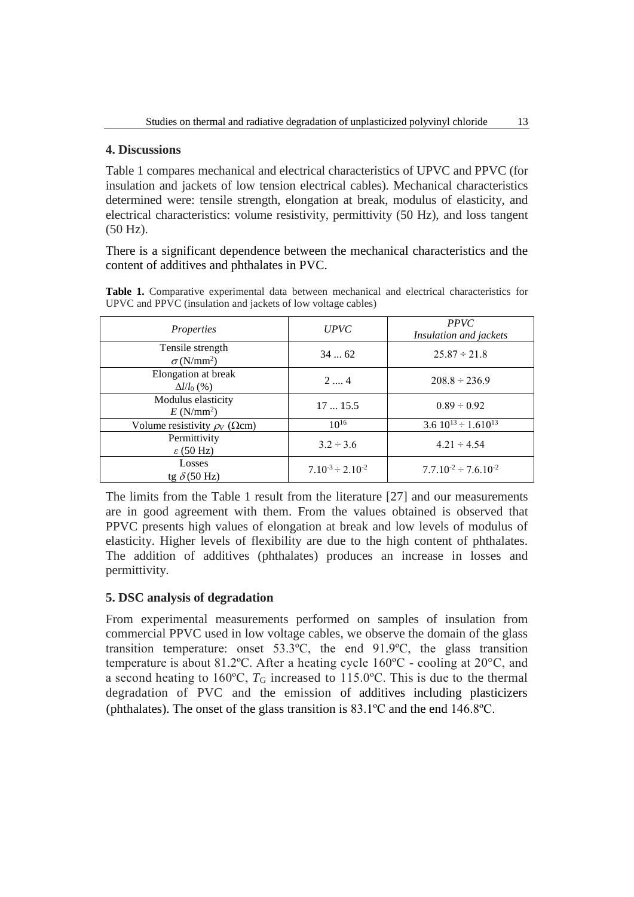### **4. Discussions**

Table 1 compares mechanical and electrical characteristics of UPVC and PPVC (for insulation and jackets of low tension electrical cables). Mechanical characteristics determined were: tensile strength, elongation at break, modulus of elasticity, and electrical characteristics: volume resistivity, permittivity (50 Hz), and loss tangent (50 Hz).

There is a significant dependence between the mechanical characteristics and the content of additives and phthalates in PVC.

|                                                              |  |  |  |  |  |  |  | <b>Table 1.</b> Comparative experimental data between mechanical and electrical characteristics for |  |  |
|--------------------------------------------------------------|--|--|--|--|--|--|--|-----------------------------------------------------------------------------------------------------|--|--|
| UPVC and PPVC (insulation and jackets of low voltage cables) |  |  |  |  |  |  |  |                                                                                                     |  |  |

| Properties                                 | <b>UPVC</b>                | <b>PPVC</b><br>Insulation and jackets |  |  |
|--------------------------------------------|----------------------------|---------------------------------------|--|--|
| Tensile strength<br>$\sigma(N/mm^2)$       | 3462                       | $25.87 \div 21.8$                     |  |  |
| Elongation at break<br>$\Delta l/l_0$ (%)  | 24                         | $208.8 \div 236.9$                    |  |  |
| Modulus elasticity<br>$E(N/mm^2)$          | 1715.5                     | $0.89 \div 0.92$                      |  |  |
| Volume resistivity $\rho_V$ ( $\Omega$ cm) | $10^{16}$                  | 3.6 $10^{13} \div 1.610^{13}$         |  |  |
| Permittivity<br>$\epsilon$ (50 Hz)         | $3.2 \div 3.6$             | $4.21 \div 4.54$                      |  |  |
| Losses<br>tg $\delta$ (50 Hz)              | $7.10^{-3} \div 2.10^{-2}$ | $7.7.10^{-2} \div 7.6.10^{-2}$        |  |  |

The limits from the Table 1 result from the literature [27] and our measurements are in good agreement with them. From the values obtained is observed that PPVC presents high values of elongation at break and low levels of modulus of elasticity. Higher levels of flexibility are due to the high content of phthalates. The addition of additives (phthalates) produces an increase in losses and permittivity.

## **5. DSC analysis of degradation**

From experimental measurements performed on samples of insulation from commercial PPVC used in low voltage cables, we observe the domain of the glass transition temperature: onset 53.3ºC, the end 91.9ºC, the glass transition temperature is about 81.2ºC. After a heating cycle 160ºC - cooling at 20°C, and a second heating to  $160^{\circ}$ C,  $T_G$  increased to  $115.0^{\circ}$ C. This is due to the thermal degradation of PVC and the emission of additives including plasticizers (phthalates). The onset of the glass transition is 83.1ºC and the end 146.8ºC.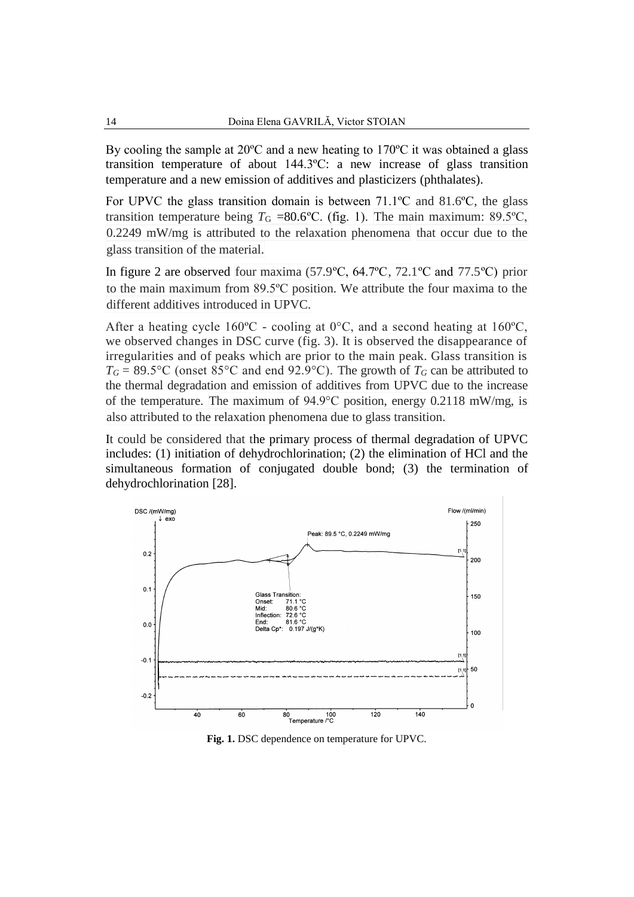By cooling the sample at 20ºC and a new heating to 170ºC it was obtained a glass transition temperature of about 144.3ºC: a new increase of glass transition temperature and a new emission of additives and plasticizers (phthalates).

For UPVC the glass transition domain is between 71.1ºC and 81.6ºC, the glass transition temperature being  $T<sub>G</sub>$  =80.6°C. (fig. 1). The main maximum: 89.5°C, 0.2249 mW/mg is attributed to the relaxation phenomena that occur due to the glass transition of the material.

In figure 2 are observed four maxima (57.9ºC, 64.7ºC, 72.1ºC and 77.5ºC) prior to the main maximum from 89.5ºC position. We attribute the four maxima to the different additives introduced in UPVC.

After a heating cycle  $160^{\circ}$ C - cooling at  $0^{\circ}$ C, and a second heating at  $160^{\circ}$ C, we observed changes in DSC curve (fig. 3). It is observed the disappearance of irregularities and of peaks which are prior to the main peak. Glass transition is  $T_G = 89.5$ °C (onset 85°C and end 92.9°C). The growth of  $T_G$  can be attributed to the thermal degradation and emission of additives from UPVC due to the increase of the temperature. The maximum of 94.9°C position, energy 0.2118 mW/mg, is also attributed to the relaxation phenomena due to glass transition.

It could be considered that the primary process of thermal degradation of UPVC includes: (1) initiation of dehydrochlorination; (2) the elimination of HCl and the simultaneous formation of conjugated double bond; (3) the termination of dehydrochlorination [28].



**Fig. 1.** DSC dependence on temperature for UPVC.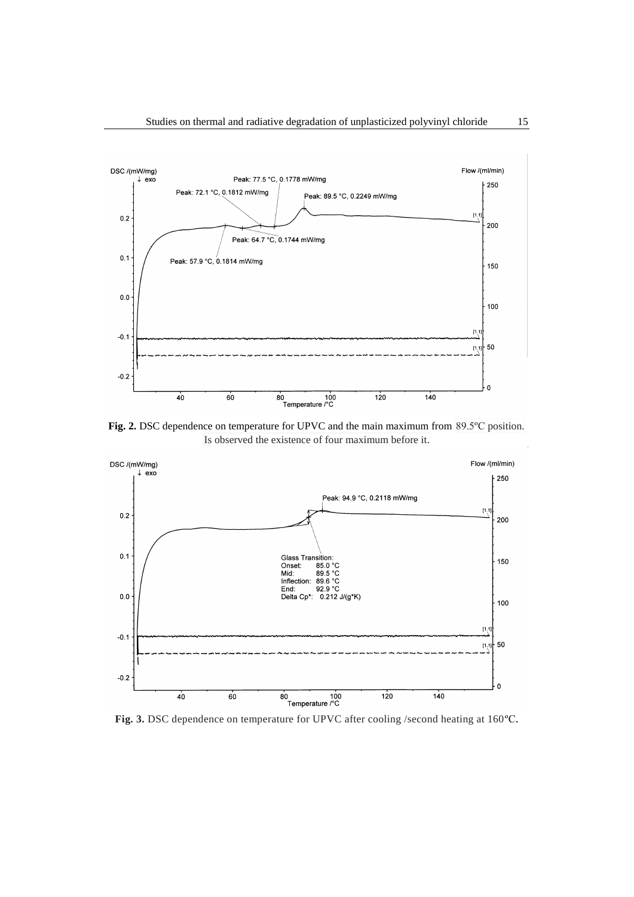

Fig. 2. DSC dependence on temperature for UPVC and the main maximum from 89.5°C position. Is observed the existence of four maximum before it.



**Fig. 3.** DSC dependence on temperature for UPVC after cooling /second heating at 160ºC.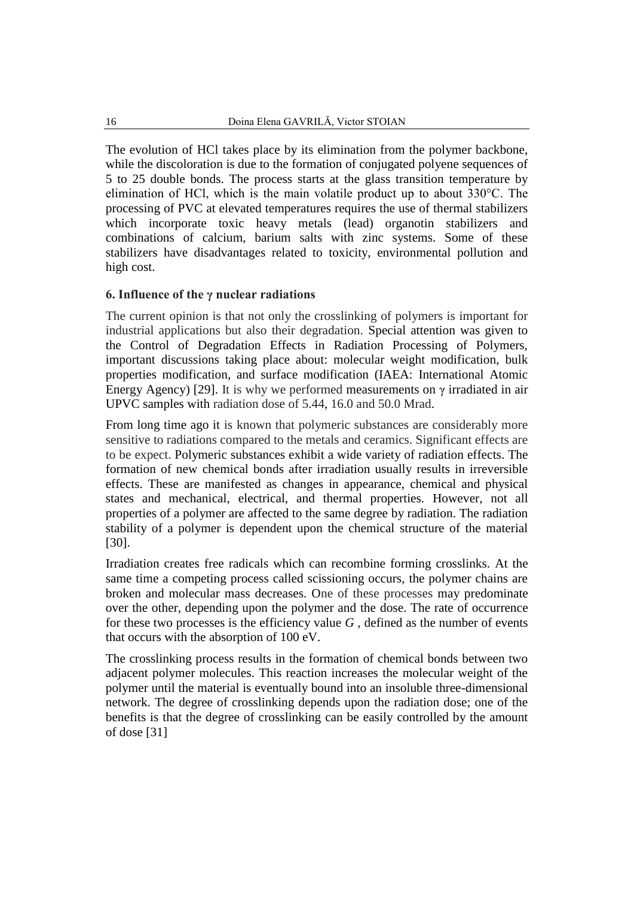The evolution of HCl takes place by its elimination from the polymer backbone, while the discoloration is due to the formation of conjugated polyene sequences of 5 to 25 double bonds. The process starts at the glass transition temperature by elimination of HCl, which is the main volatile product up to about 330°C. The processing of PVC at elevated temperatures requires the use of thermal stabilizers which incorporate toxic heavy metals (lead) organotin stabilizers and combinations of calcium, barium salts with zinc systems. Some of these stabilizers have disadvantages related to toxicity, environmental pollution and high cost.

## **6. Influence of the γ nuclear radiations**

The current opinion is that not only the crosslinking of polymers is important for industrial applications but also their degradation. Special attention was given to the Control of Degradation Effects in Radiation Processing of Polymers, important discussions taking place about: molecular weight modification, bulk properties modification, and surface modification (IAEA: International Atomic Energy Agency) [29]. It is why we performed measurements on  $\gamma$  irradiated in air UPVC samples with radiation dose of 5.44, 16.0 and 50.0 Mrad.

From long time ago it is known that polymeric substances are considerably more sensitive to radiations compared to the metals and ceramics. Significant effects are to be expect. Polymeric substances exhibit a wide variety of radiation effects. The formation of new chemical bonds after irradiation usually results in irreversible effects. These are manifested as changes in appearance, chemical and physical states and mechanical, electrical, and thermal properties. However, not all properties of a polymer are affected to the same degree by radiation. The radiation stability of a polymer is dependent upon the chemical structure of the material [30].

Irradiation creates free radicals which can recombine forming crosslinks. At the same time a competing process called scissioning occurs, the polymer chains are broken and molecular mass decreases. One of these processes may predominate over the other, depending upon the polymer and the dose. The rate of occurrence for these two processes is the efficiency value  $G$ , defined as the number of events that occurs with the absorption of 100 eV.

The crosslinking process results in the formation of chemical bonds between two adjacent polymer molecules. This reaction increases the molecular weight of the polymer until the material is eventually bound into an insoluble three-dimensional network. The degree of crosslinking depends upon the radiation dose; one of the benefits is that the degree of crosslinking can be easily controlled by the amount of dose [31]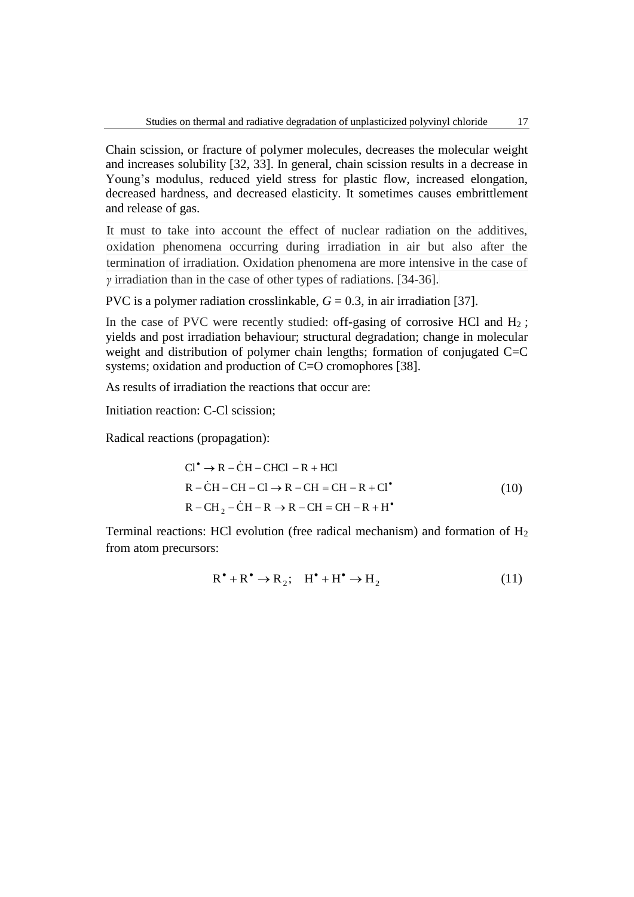Chain scission, or fracture of polymer molecules, decreases the molecular weight and increases solubility [32, 33]. In general, chain scission results in a decrease in Young's modulus, reduced yield stress for plastic flow, increased elongation, decreased hardness, and decreased elasticity. It sometimes causes embrittlement and release of gas.

It must to take into account the effect of nuclear radiation on the additives, oxidation phenomena occurring during irradiation in air but also after the termination of irradiation. Oxidation phenomena are more intensive in the case of *γ* irradiation than in the case of other types of radiations. [34-36].

PVC is a polymer radiation crosslinkable,  $G = 0.3$ , in air irradiation [37].

In the case of PVC were recently studied: off-gasing of corrosive HCl and  $H_2$ ; yields and post irradiation behaviour; structural degradation; change in molecular weight and distribution of polymer chain lengths; formation of conjugated C=C systems; oxidation and production of C=O cromophores [38].

As results of irradiation the reactions that occur are:

Initiation reaction: C-Cl scission;

Radical reactions (propagation):

$$
CI^{\bullet} \rightarrow R - CH - CHCl - R + HCl
$$
  
\n
$$
R - CH - CH - Cl \rightarrow R - CH = CH - R + Cl^{\bullet}
$$
  
\n
$$
R - CH_2 - CH - R \rightarrow R - CH = CH - R + H^{\bullet}
$$
  
\n(10)

Terminal reactions: HCl evolution (free radical mechanism) and formation of  $H_2$ from atom precursors:

$$
\mathbf{R}^{\bullet} + \mathbf{R}^{\bullet} \to \mathbf{R}_2; \quad \mathbf{H}^{\bullet} + \mathbf{H}^{\bullet} \to \mathbf{H}_2 \tag{11}
$$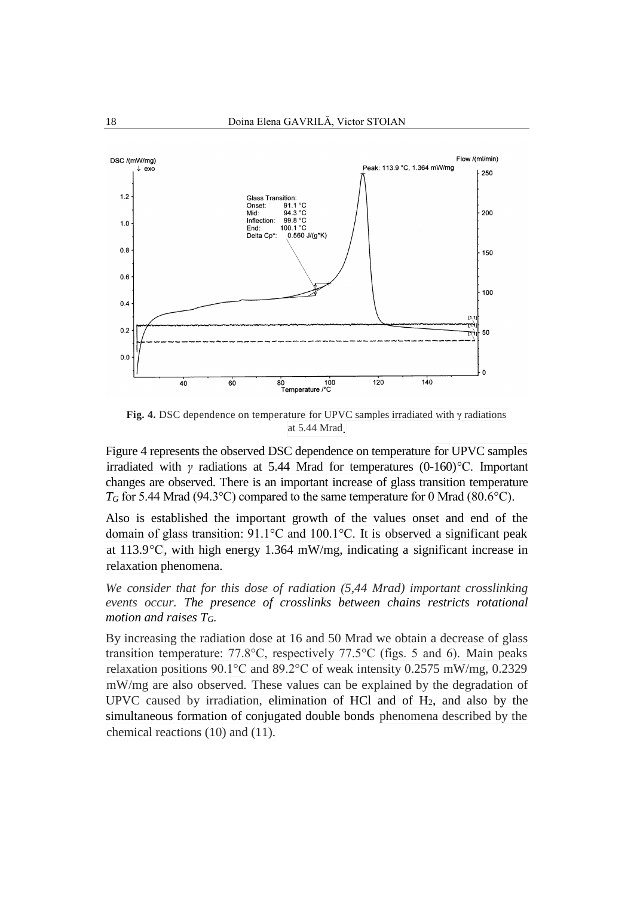

**Fig. 4.** DSC dependence on temperature for UPVC samples irradiated with  $\gamma$  radiations at 5.44 Mrad.

Figure 4 represents the observed DSC dependence on temperature for UPVC samples irradiated with *γ* radiations at 5.44 Mrad for temperatures (0-160)°C. Important changes are observed. There is an important increase of glass transition temperature *T<sup>G</sup>* for 5.44 Mrad (94.3°C) compared to the same temperature for 0 Mrad (80.6°C).

Also is established the important growth of the values onset and end of the domain of glass transition: 91.1°C and 100.1°C. It is observed a significant peak at 113.9°C, with high energy 1.364 mW/mg, indicating a significant increase in relaxation phenomena.

*We consider that for this dose of radiation (5,44 Mrad) important crosslinking events occur. The presence of crosslinks between chains restricts rotational motion and raises TG.* 

By increasing the radiation dose at 16 and 50 Mrad we obtain a decrease of glass transition temperature: 77.8°C, respectively 77.5°C (figs. 5 and 6). Main peaks relaxation positions 90.1°C and 89.2°C of weak intensity 0.2575 mW/mg, 0.2329 mW/mg are also observed. These values can be explained by the degradation of UPVC caused by irradiation, elimination of HCl and of H2, and also by the simultaneous formation of conjugated double bonds phenomena described by the chemical reactions (10) and (11).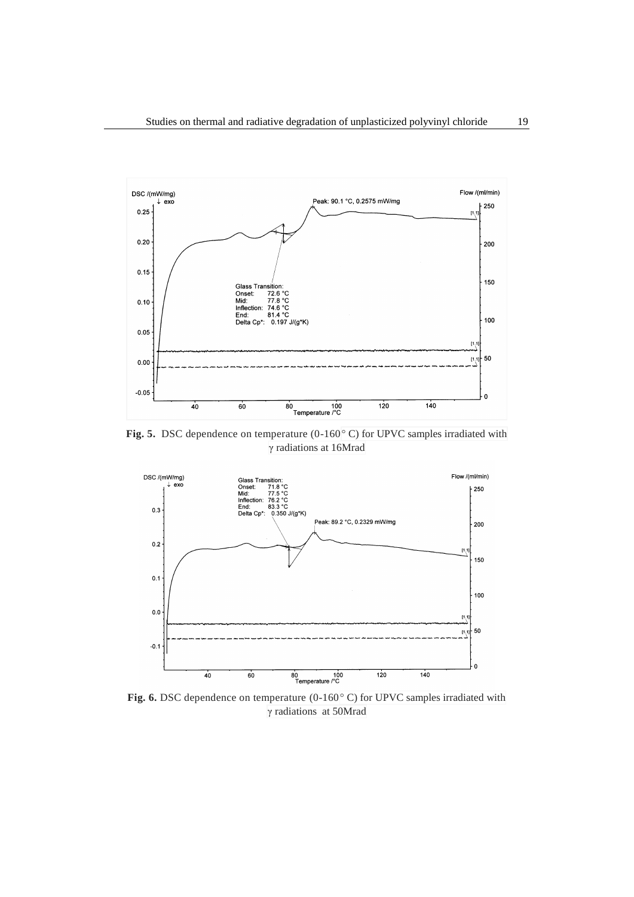

**Fig. 5.** DSC dependence on temperature (0-160° C) for UPVC samples irradiated with γ radiations at 16Mrad



**Fig. 6.** DSC dependence on temperature (0-160° C) for UPVC samples irradiated with γ radiations at 50Mrad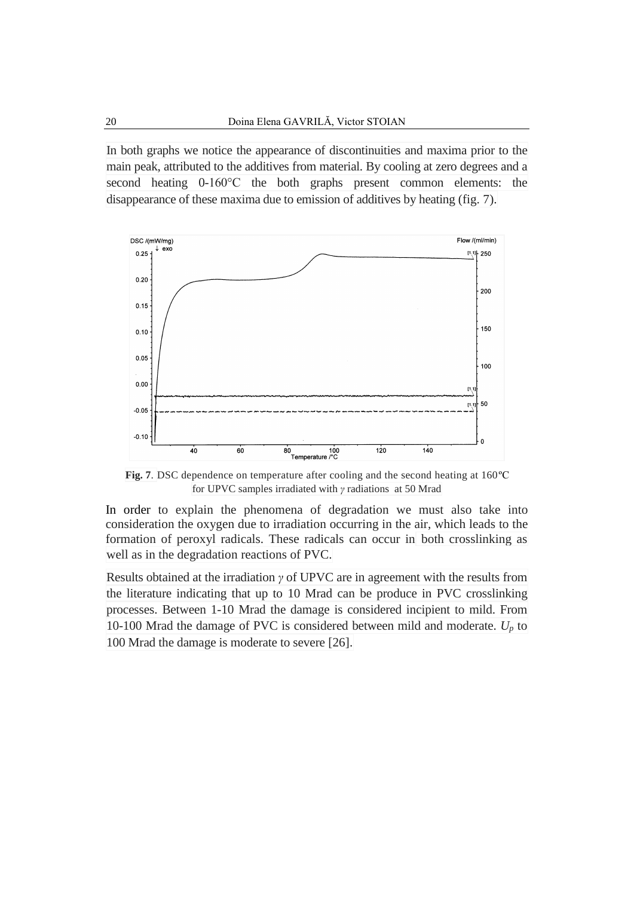In both graphs we notice the appearance of discontinuities and maxima prior to the main peak, attributed to the additives from material. By cooling at zero degrees and a second heating 0-160°C the both graphs present common elements: the disappearance of these maxima due to emission of additives by heating (fig. 7).



**Fig. 7**. DSC dependence on temperature after cooling and the second heating at 160ºC for UPVC samples irradiated with *γ* radiations at 50 Mrad

In order to explain the phenomena of degradation we must also take into consideration the oxygen due to irradiation occurring in the air, which leads to the formation of peroxyl radicals. These radicals can occur in both crosslinking as well as in the degradation reactions of PVC.

Results obtained at the irradiation *γ* of UPVC are in agreement with the results from the literature indicating that up to 10 Mrad can be produce in PVC crosslinking processes. Between 1-10 Mrad the damage is considered incipient to mild. From 10-100 Mrad the damage of PVC is considered between mild and moderate.  $U_p$  to 100 Mrad the damage is moderate to severe [26].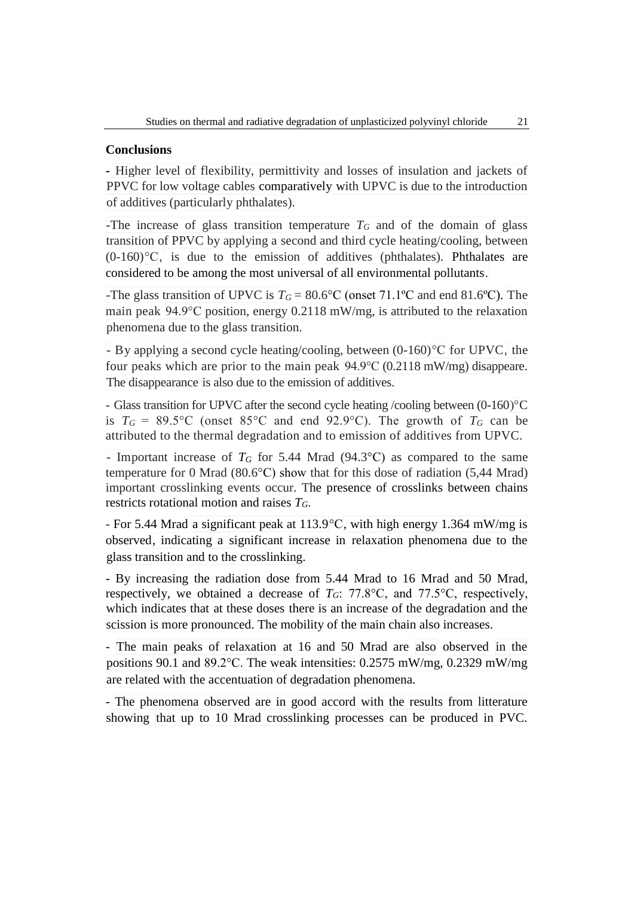### **Conclusions**

**-** Higher level of flexibility, permittivity and losses of insulation and jackets of PPVC for low voltage cables comparatively with UPVC is due to the introduction of additives (particularly phthalates).

-The increase of glass transition temperature *T<sup>G</sup>* and of the domain of glass transition of PPVC by applying a second and third cycle heating/cooling, between  $(0-160)$ <sup>o</sup>C, is due to the emission of additives (phthalates). Phthalates are considered to be among the most universal of all environmental pollutants.

-The glass transition of UPVC is  $T_G = 80.6$ °C (onset 71.1°C and end 81.6°C). The main peak 94.9°C position, energy 0.2118 mW/mg, is attributed to the relaxation phenomena due to the glass transition.

- By applying a second cycle heating/cooling, between (0-160)°C for UPVC, the four peaks which are prior to the main peak 94.9°C (0.2118 mW/mg) disappeare. The disappearance is also due to the emission of additives.

- Glass transition for UPVC after the second cycle heating /cooling between (0-160)°C is  $T_G = 89.5$ °C (onset 85°C and end 92.9°C). The growth of  $T_G$  can be attributed to the thermal degradation and to emission of additives from UPVC.

- Important increase of *T<sup>G</sup>* for 5.44 Mrad (94.3°C) as compared to the same temperature for 0 Mrad (80.6°C) show that for this dose of radiation (5,44 Mrad) important crosslinking events occur. The presence of crosslinks between chains restricts rotational motion and raises *TG*.

- For 5.44 Mrad a significant peak at 113.9°C, with high energy 1.364 mW/mg is observed, indicating a significant increase in relaxation phenomena due to the glass transition and to the crosslinking.

- By increasing the radiation dose from 5.44 Mrad to 16 Mrad and 50 Mrad, respectively, we obtained a decrease of  $T_G$ : 77.8°C, and 77.5°C, respectively, which indicates that at these doses there is an increase of the degradation and the scission is more pronounced. The mobility of the main chain also increases.

- The main peaks of relaxation at 16 and 50 Mrad are also observed in the positions 90.1 and 89.2°C. The weak intensities: 0.2575 mW/mg, 0.2329 mW/mg are related with the accentuation of degradation phenomena.

- The phenomena observed are in good accord with the results from litterature showing that up to 10 Mrad crosslinking processes can be produced in PVC.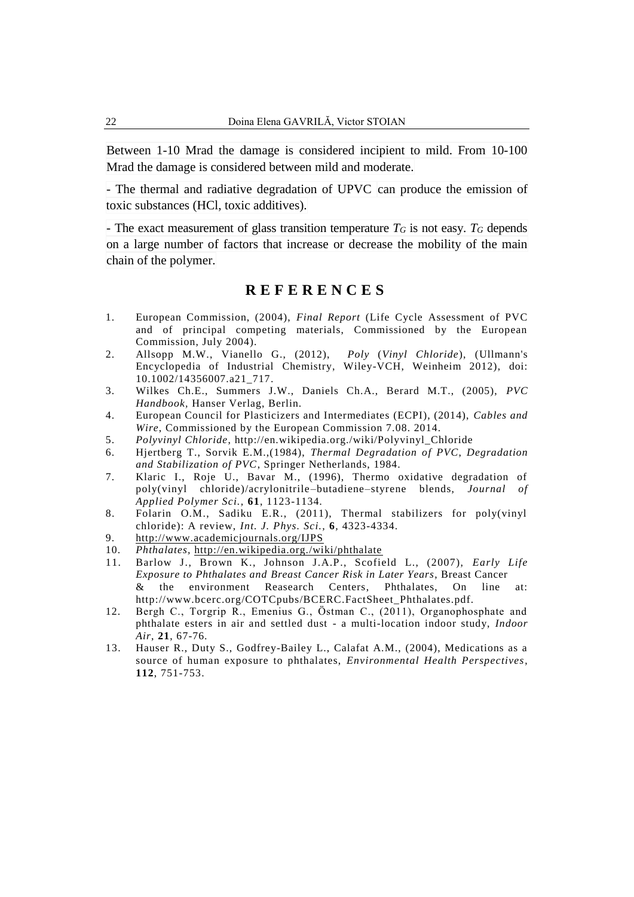Between 1-10 Mrad the damage is considered incipient to mild. From 10-100 Mrad the damage is considered between mild and moderate.

- The thermal and radiative degradation of UPVC can produce the emission of toxic substances (HCl, toxic additives).

- The exact measurement of glass transition temperature  $T_G$  is not easy.  $T_G$  depends on a large number of factors that increase or decrease the mobility of the main chain of the polymer.

# **R E F E R E N C E S**

- 1. European Commission, (2004), *Final Report* (Life Cycle Assessment of PVC and of principal competing materials, Commissioned by the European Commission, July 2004).
- 2. Allsopp M.W., Vianello G., (2012), *Poly* (*Vinyl Chloride*), (Ullmann's Encyclopedia of Industrial Chemistry, Wiley-VCH, Weinheim 2012), [doi:](http://en.wikipedia.org/wiki/Digital_object_identifier) [10.1002/14356007.a21\\_717.](http://dx.doi.org/10.1002%2F14356007.a21_717)
- 3. Wilkes Ch.E., Summers J.W., Daniels Ch.A., Berard M.T., (2005), *PVC Handbook,* Hanser Verlag, Berlin.
- 4. European Council for Plasticizers and Intermediates (ECPI), (2014), *Cables and Wire*, Commissioned by the European Commission 7.08. 2014.
- 5. *Polyvinyl Chloride*, [http://en.wikipedia.org./wiki/Polyvinyl\\_Chloride](http://en.wikipedia.org./wiki/Polyvinyl_Chloride)
- 6. Hjertberg T., Sorvik E.M.,(1984), *Thermal Degradation of PVC*, *Degradation and Stabilization of PVC*, Springer Netherlands, 1984.
- 7. Klaric I., Roje U., Bavar M., (1996), Thermo oxidative degradation of poly(vinyl chloride)/acrylonitrile–butadiene–styrene blends, *Journal of Applied Polymer Sci.,* **61**, 1123-1134*.*
- 8. Folarin O.M., Sadiku E.R., (2011), Thermal stabilizers for poly(vinyl chloride): A review, *Int. J. Phys. Sci.,* **6***,* 4323-4334.
- 9. <http://www.academicjournals.org/IJPS>
- 10. *Phthalates,* <http://en.wikipedia.org./wiki/phthalate>
- 11. Barlow J., Brown K., Johnson J.A.P., Scofield L., (2007), *Early Life Exposure to Phthalates and Breast Cancer Risk in Later Years*, Breast Cancer & the environment Reasearch Centers, Phthalates, On line at: http://www.bcerc.org/COTCpubs/BCERC.FactSheet\_Phthalates.pdf.
- 12. Bergh C., Torgrip R., Emenius G., Östman C., (2011), Organophosphate and phthalate esters in air and settled dust - a multi-location indoor study, *Indoor Air*, **21**, 67-76.
- 13. Hauser R., Duty S., Godfrey-Bailey L., Calafat A.M., (2004), Medications as a source of human exposure to phthalates, *Environmental Health Perspectives*, **112**, 751-753.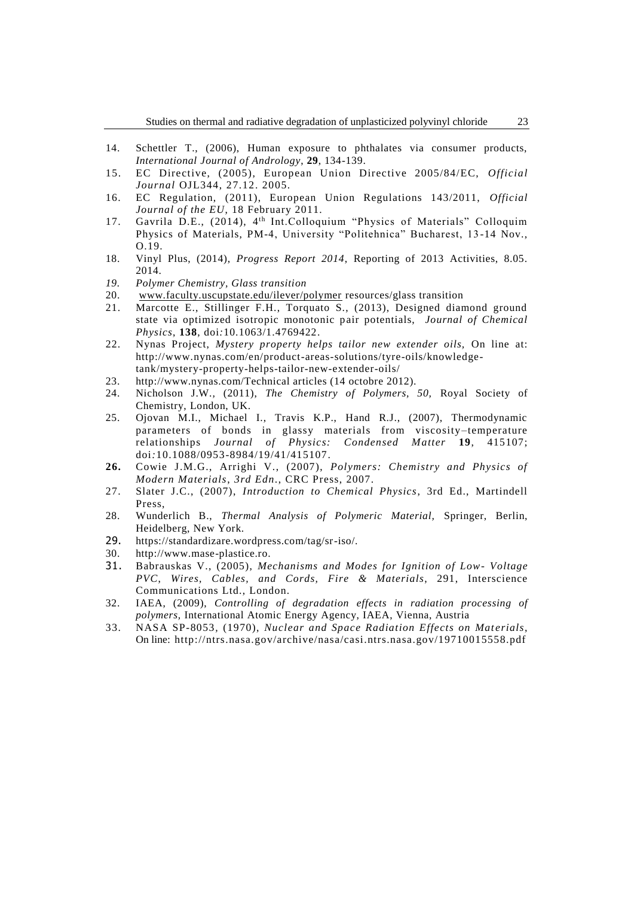- 14. Schettler T., (2006), Human exposure to phthalates via consumer products, *International Journal of Andrology*, **29**, 134-139.
- 15. EC Directive, (2005), European Union Directive 2005/84/EC, *Official Journal* OJL344, 27.12. 2005.
- 16. EC Regulation, (2011), European Union Regulations 143/2011, *Official Journal of the EU*, 18 February 2011.
- 17. Gavrila D.E., (2014), 4th Int.Colloquium "Physics of Materials" Colloquim Physics of Materials, PM-4, University "Politehnica" Bucharest, 13 -14 Nov., O.19.
- 18. Vinyl Plus, (2014), *Progress Report 2014*, Reporting of 2013 Activities, 8.05. 2014.
- *19. Polymer Chemistry, Glass transition*
- 20. [www.faculty.uscupstate.edu/ilever/polymer](http://www.faculty.uscupstate.edu/ilever/polymer) resources/glass transition
- 21. Marcotte E., Stillinger F.H., Torquato S., (2013), Designed diamond ground state via optimized isotropic monotonic pair potentials, *Journal of Chemical Physics*, **138**, [doi](https://en.wikipedia.org/wiki/Digital_object_identifier)*:*[10.1063/1.4769422.](https://dx.doi.org/10.1063%2F1.4769422)
- 22. Nynas Project, *Mystery property helps tailor new extender oils,* On line at: http://www.nynas.com/en/product-areas-solutions/tyre-oils/knowledgetank/mystery-property-helps-tailor-new-extender-oils/
- 23. http://www.nynas.com/Technical articles (14 octobre 2012).
- 24. Nicholson J.W.*,* (2011), *The Chemistry of Polymers, 50,* Royal Society of Chemistry, London, UK.
- 25. Ojovan M.I., Michael I., Travis K.P., Hand R.J., (2007), Thermodynamic parameters of bonds in glassy materials from viscosity –temperature relationships *Journal of Physics: Condensed Matter* **19**, 415107; [doi](https://en.wikipedia.org/wiki/Digital_object_identifier)*:*[10.1088/0953-8984/19/41/415107.](https://dx.doi.org/10.1088%2F0953-8984%2F19%2F41%2F415107)
- **26.** Cowie J.M.G., Arrighi V., (2007), *Polymers: Chemistry and Physics of Modern Materials*, *3rd Edn*., CRC Press, 2007.
- 27. Slater J.C., (2007), *Introduction to Chemical Physics*, 3rd Ed., Martindell Press,
- 28. Wunderlich B., *Thermal Analysis of Polymeric Material,* Springer, Berlin, Heidelberg, New York.
- 29. https://standardizare.wordpress.com/tag/sr-iso/.
- 30. [http://www.mase-plastice.ro.](http://www.mase-plastice.ro/)
- 31. Babrauskas V., (2005), *Mechanisms and Modes for Ignition of Low- Voltage PVC*, *Wires, Cables, and Cords, Fire & Materials*, 291, Interscience Communications Ltd., London.
- 32. IAEA, (2009), *Controlling of degradation effects in radiation processing of polymers,* International Atomic Energy Agency, IAEA, Vienna, Austria
- 33. NASA SP-8053*,* (1970), *Nuclear and Space Radiation Effects on Mat erials*, On line: http://ntrs.nasa.gov/archive/nasa/casi.ntrs.nasa.gov/19710015558.pdf